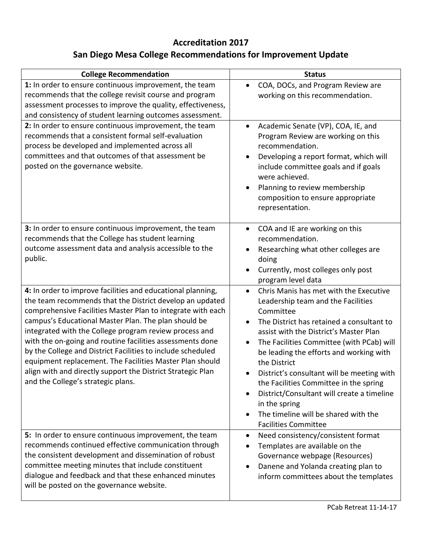## **Accreditation 2017**

## **San Diego Mesa College Recommendations for Improvement Update**

| <b>College Recommendation</b>                                                                                                                                                                                                                                                                                                                                                                                                                                                                                                                                                                         | <b>Status</b>                                                                                                                                                                                                                                                                                                                                                                                                                                                                                                                                                 |
|-------------------------------------------------------------------------------------------------------------------------------------------------------------------------------------------------------------------------------------------------------------------------------------------------------------------------------------------------------------------------------------------------------------------------------------------------------------------------------------------------------------------------------------------------------------------------------------------------------|---------------------------------------------------------------------------------------------------------------------------------------------------------------------------------------------------------------------------------------------------------------------------------------------------------------------------------------------------------------------------------------------------------------------------------------------------------------------------------------------------------------------------------------------------------------|
| 1: In order to ensure continuous improvement, the team<br>recommends that the college revisit course and program<br>assessment processes to improve the quality, effectiveness,<br>and consistency of student learning outcomes assessment.                                                                                                                                                                                                                                                                                                                                                           | COA, DOCs, and Program Review are<br>$\bullet$<br>working on this recommendation.                                                                                                                                                                                                                                                                                                                                                                                                                                                                             |
| 2: In order to ensure continuous improvement, the team<br>recommends that a consistent formal self-evaluation<br>process be developed and implemented across all<br>committees and that outcomes of that assessment be<br>posted on the governance website.                                                                                                                                                                                                                                                                                                                                           | Academic Senate (VP), COA, IE, and<br>$\bullet$<br>Program Review are working on this<br>recommendation.<br>Developing a report format, which will<br>include committee goals and if goals<br>were achieved.<br>Planning to review membership<br>$\bullet$<br>composition to ensure appropriate<br>representation.                                                                                                                                                                                                                                            |
| 3: In order to ensure continuous improvement, the team<br>recommends that the College has student learning<br>outcome assessment data and analysis accessible to the<br>public.                                                                                                                                                                                                                                                                                                                                                                                                                       | COA and IE are working on this<br>$\bullet$<br>recommendation.<br>Researching what other colleges are<br>$\bullet$<br>doing<br>Currently, most colleges only post<br>$\bullet$<br>program level data                                                                                                                                                                                                                                                                                                                                                          |
| 4: In order to improve facilities and educational planning,<br>the team recommends that the District develop an updated<br>comprehensive Facilities Master Plan to integrate with each<br>campus's Educational Master Plan. The plan should be<br>integrated with the College program review process and<br>with the on-going and routine facilities assessments done<br>by the College and District Facilities to include scheduled<br>equipment replacement. The Facilities Master Plan should<br>align with and directly support the District Strategic Plan<br>and the College's strategic plans. | Chris Manis has met with the Executive<br>$\bullet$<br>Leadership team and the Facilities<br>Committee<br>The District has retained a consultant to<br>assist with the District's Master Plan<br>The Facilities Committee (with PCab) will<br>$\bullet$<br>be leading the efforts and working with<br>the District<br>District's consultant will be meeting with<br>the Facilities Committee in the spring<br>District/Consultant will create a timeline<br>$\bullet$<br>in the spring<br>The timeline will be shared with the<br><b>Facilities Committee</b> |
| 5: In order to ensure continuous improvement, the team<br>recommends continued effective communication through<br>the consistent development and dissemination of robust<br>committee meeting minutes that include constituent<br>dialogue and feedback and that these enhanced minutes<br>will be posted on the governance website.                                                                                                                                                                                                                                                                  | Need consistency/consistent format<br>$\bullet$<br>Templates are available on the<br>$\bullet$<br>Governance webpage (Resources)<br>Danene and Yolanda creating plan to<br>inform committees about the templates                                                                                                                                                                                                                                                                                                                                              |